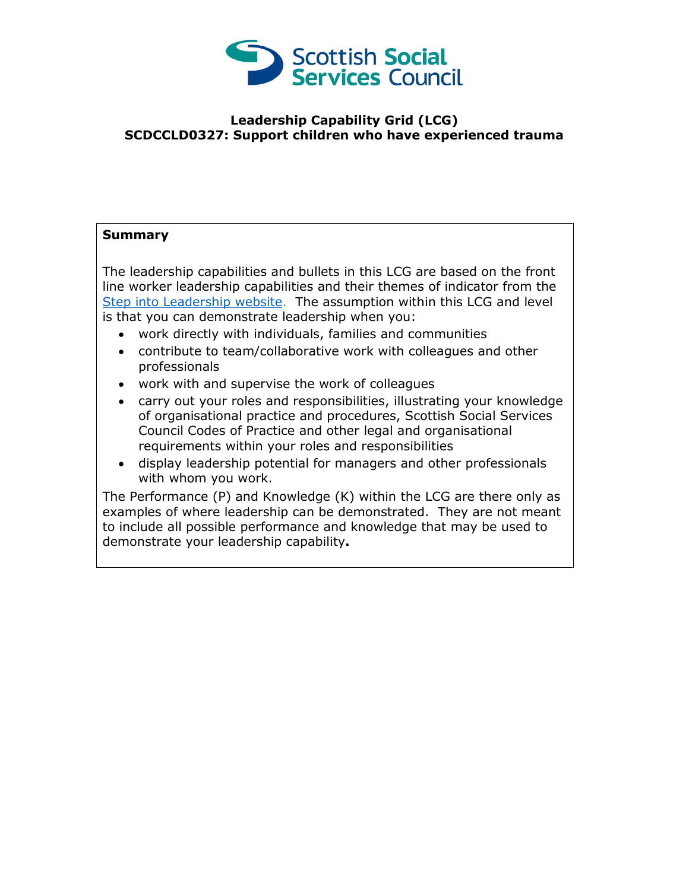

## **Leadership Capability Grid (LCG) SCDCCLD0327: Support children who have experienced trauma**

## **Summary**

The leadership capabilities and bullets in this LCG are based on the front line worker leadership capabilities and their themes of indicator from the [Step into Leadership website.](http://www.stepintoleadership.info/) The assumption within this LCG and level is that you can demonstrate leadership when you:

- work directly with individuals, families and communities
- contribute to team/collaborative work with colleagues and other professionals
- work with and supervise the work of colleagues
- carry out your roles and responsibilities, illustrating your knowledge of organisational practice and procedures, Scottish Social Services Council Codes of Practice and other legal and organisational requirements within your roles and responsibilities
- display leadership potential for managers and other professionals with whom you work.

The Performance (P) and Knowledge (K) within the LCG are there only as examples of where leadership can be demonstrated. They are not meant to include all possible performance and knowledge that may be used to demonstrate your leadership capability**.**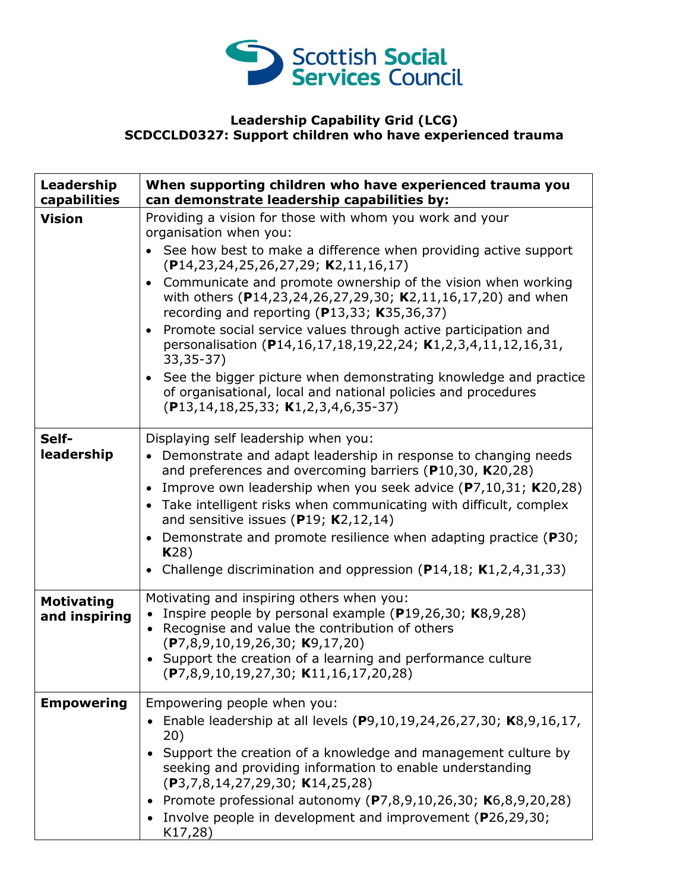

## **Leadership Capability Grid (LCG) SCDCCLD0327: Support children who have experienced trauma**

| Leadership<br>capabilities         | When supporting children who have experienced trauma you<br>can demonstrate leadership capabilities by:                                                                                                                                                                                                                                                                                                                                                                                                                                                                                                                                                                                                                                                                      |
|------------------------------------|------------------------------------------------------------------------------------------------------------------------------------------------------------------------------------------------------------------------------------------------------------------------------------------------------------------------------------------------------------------------------------------------------------------------------------------------------------------------------------------------------------------------------------------------------------------------------------------------------------------------------------------------------------------------------------------------------------------------------------------------------------------------------|
| <b>Vision</b>                      | Providing a vision for those with whom you work and your<br>organisation when you:<br>See how best to make a difference when providing active support<br>$(P14, 23, 24, 25, 26, 27, 29; K2, 11, 16, 17)$<br>Communicate and promote ownership of the vision when working<br>$\bullet$<br>with others (P14,23,24,26,27,29,30; K2,11,16,17,20) and when<br>recording and reporting ( $P13,33$ ; K35,36,37)<br>Promote social service values through active participation and<br>$\bullet$<br>personalisation (P14,16,17,18,19,22,24; K1,2,3,4,11,12,16,31,<br>33, 35 - 37)<br>See the bigger picture when demonstrating knowledge and practice<br>$\bullet$<br>of organisational, local and national policies and procedures<br>$(P13, 14, 18, 25, 33; K1, 2, 3, 4, 6, 35-37)$ |
| Self-<br>leadership                | Displaying self leadership when you:<br>Demonstrate and adapt leadership in response to changing needs<br>$\bullet$<br>and preferences and overcoming barriers (P10,30, K20,28)<br>Improve own leadership when you seek advice $(P7, 10, 31; K20, 28)$<br>$\bullet$<br>Take intelligent risks when communicating with difficult, complex<br>$\bullet$<br>and sensitive issues ( $P19$ ; $K2,12,14$ )<br>Demonstrate and promote resilience when adapting practice (P30;<br>$\bullet$<br><b>K28)</b><br>Challenge discrimination and oppression ( $P14,18$ ; K1,2,4,31,33)<br>$\bullet$                                                                                                                                                                                       |
| <b>Motivating</b><br>and inspiring | Motivating and inspiring others when you:<br>Inspire people by personal example (P19,26,30; K8,9,28)<br>Recognise and value the contribution of others<br>$\bullet$<br>(P7,8,9,10,19,26,30; K9,17,20)<br>• Support the creation of a learning and performance culture<br>(P7,8,9,10,19,27,30; K11,16,17,20,28)                                                                                                                                                                                                                                                                                                                                                                                                                                                               |
| <b>Empowering</b>                  | Empowering people when you:<br>Enable leadership at all levels (P9,10,19,24,26,27,30; K8,9,16,17,<br>20)<br>Support the creation of a knowledge and management culture by<br>seeking and providing information to enable understanding<br>(P3,7,8,14,27,29,30; K14,25,28)<br>Promote professional autonomy (P7,8,9,10,26,30; K6,8,9,20,28)<br>• Involve people in development and improvement (P26,29,30;<br>K17,28)                                                                                                                                                                                                                                                                                                                                                         |